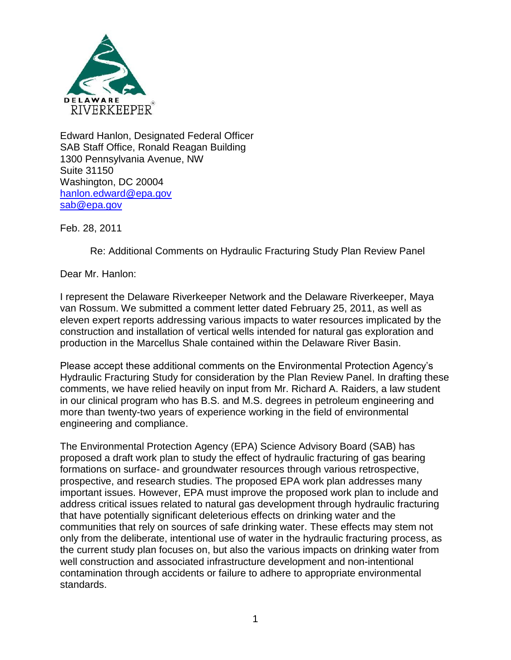

Edward Hanlon, Designated Federal Officer SAB Staff Office, Ronald Reagan Building 1300 Pennsylvania Avenue, NW Suite 31150 Washington, DC 20004 [hanlon.edward@epa.gov](mailto:hanlon.edward@epa.gov) [sab@epa.gov](mailto:sab@epa.gov)

Feb. 28, 2011

Re: Additional Comments on Hydraulic Fracturing Study Plan Review Panel

Dear Mr. Hanlon:

I represent the Delaware Riverkeeper Network and the Delaware Riverkeeper, Maya van Rossum. We submitted a comment letter dated February 25, 2011, as well as eleven expert reports addressing various impacts to water resources implicated by the construction and installation of vertical wells intended for natural gas exploration and production in the Marcellus Shale contained within the Delaware River Basin.

Please accept these additional comments on the Environmental Protection Agency's Hydraulic Fracturing Study for consideration by the Plan Review Panel. In drafting these comments, we have relied heavily on input from Mr. Richard A. Raiders, a law student in our clinical program who has B.S. and M.S. degrees in petroleum engineering and more than twenty-two years of experience working in the field of environmental engineering and compliance.

The Environmental Protection Agency (EPA) Science Advisory Board (SAB) has proposed a draft work plan to study the effect of hydraulic fracturing of gas bearing formations on surface- and groundwater resources through various retrospective, prospective, and research studies. The proposed EPA work plan addresses many important issues. However, EPA must improve the proposed work plan to include and address critical issues related to natural gas development through hydraulic fracturing that have potentially significant deleterious effects on drinking water and the communities that rely on sources of safe drinking water. These effects may stem not only from the deliberate, intentional use of water in the hydraulic fracturing process, as the current study plan focuses on, but also the various impacts on drinking water from well construction and associated infrastructure development and non-intentional contamination through accidents or failure to adhere to appropriate environmental standards.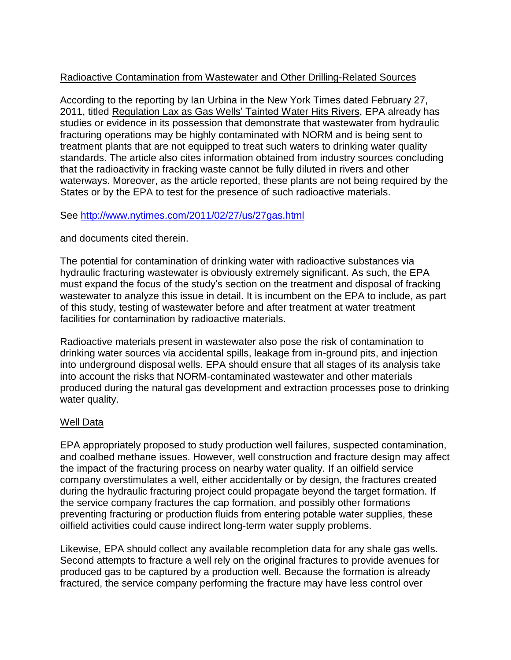# Radioactive Contamination from Wastewater and Other Drilling-Related Sources

According to the reporting by Ian Urbina in the New York Times dated February 27, 2011, titled Regulation Lax as Gas Wells' Tainted Water Hits Rivers, EPA already has studies or evidence in its possession that demonstrate that wastewater from hydraulic fracturing operations may be highly contaminated with NORM and is being sent to treatment plants that are not equipped to treat such waters to drinking water quality standards. The article also cites information obtained from industry sources concluding that the radioactivity in fracking waste cannot be fully diluted in rivers and other waterways. Moreover, as the article reported, these plants are not being required by the States or by the EPA to test for the presence of such radioactive materials.

## See<http://www.nytimes.com/2011/02/27/us/27gas.html>

#### and documents cited therein.

The potential for contamination of drinking water with radioactive substances via hydraulic fracturing wastewater is obviously extremely significant. As such, the EPA must expand the focus of the study's section on the treatment and disposal of fracking wastewater to analyze this issue in detail. It is incumbent on the EPA to include, as part of this study, testing of wastewater before and after treatment at water treatment facilities for contamination by radioactive materials.

Radioactive materials present in wastewater also pose the risk of contamination to drinking water sources via accidental spills, leakage from in-ground pits, and injection into underground disposal wells. EPA should ensure that all stages of its analysis take into account the risks that NORM-contaminated wastewater and other materials produced during the natural gas development and extraction processes pose to drinking water quality.

## Well Data

EPA appropriately proposed to study production well failures, suspected contamination, and coalbed methane issues. However, well construction and fracture design may affect the impact of the fracturing process on nearby water quality. If an oilfield service company overstimulates a well, either accidentally or by design, the fractures created during the hydraulic fracturing project could propagate beyond the target formation. If the service company fractures the cap formation, and possibly other formations preventing fracturing or production fluids from entering potable water supplies, these oilfield activities could cause indirect long-term water supply problems.

Likewise, EPA should collect any available recompletion data for any shale gas wells. Second attempts to fracture a well rely on the original fractures to provide avenues for produced gas to be captured by a production well. Because the formation is already fractured, the service company performing the fracture may have less control over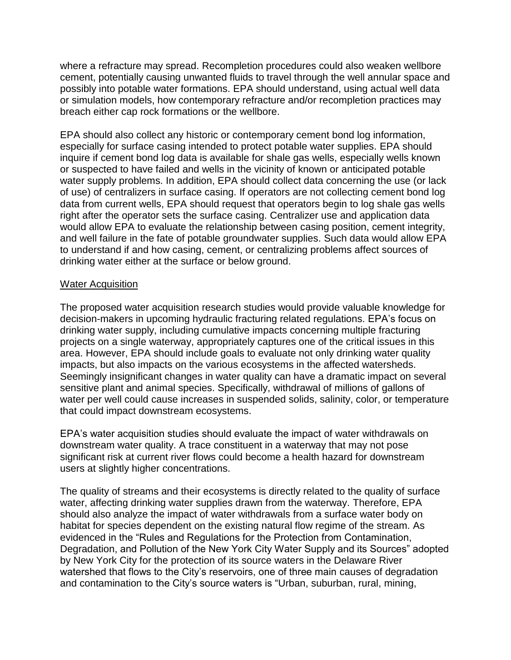where a refracture may spread. Recompletion procedures could also weaken wellbore cement, potentially causing unwanted fluids to travel through the well annular space and possibly into potable water formations. EPA should understand, using actual well data or simulation models, how contemporary refracture and/or recompletion practices may breach either cap rock formations or the wellbore.

EPA should also collect any historic or contemporary cement bond log information, especially for surface casing intended to protect potable water supplies. EPA should inquire if cement bond log data is available for shale gas wells, especially wells known or suspected to have failed and wells in the vicinity of known or anticipated potable water supply problems. In addition, EPA should collect data concerning the use (or lack of use) of centralizers in surface casing. If operators are not collecting cement bond log data from current wells, EPA should request that operators begin to log shale gas wells right after the operator sets the surface casing. Centralizer use and application data would allow EPA to evaluate the relationship between casing position, cement integrity, and well failure in the fate of potable groundwater supplies. Such data would allow EPA to understand if and how casing, cement, or centralizing problems affect sources of drinking water either at the surface or below ground.

#### Water Acquisition

The proposed water acquisition research studies would provide valuable knowledge for decision-makers in upcoming hydraulic fracturing related regulations. EPA's focus on drinking water supply, including cumulative impacts concerning multiple fracturing projects on a single waterway, appropriately captures one of the critical issues in this area. However, EPA should include goals to evaluate not only drinking water quality impacts, but also impacts on the various ecosystems in the affected watersheds. Seemingly insignificant changes in water quality can have a dramatic impact on several sensitive plant and animal species. Specifically, withdrawal of millions of gallons of water per well could cause increases in suspended solids, salinity, color, or temperature that could impact downstream ecosystems.

EPA's water acquisition studies should evaluate the impact of water withdrawals on downstream water quality. A trace constituent in a waterway that may not pose significant risk at current river flows could become a health hazard for downstream users at slightly higher concentrations.

The quality of streams and their ecosystems is directly related to the quality of surface water, affecting drinking water supplies drawn from the waterway. Therefore, EPA should also analyze the impact of water withdrawals from a surface water body on habitat for species dependent on the existing natural flow regime of the stream. As evidenced in the "Rules and Regulations for the Protection from Contamination, Degradation, and Pollution of the New York City Water Supply and its Sources" adopted by New York City for the protection of its source waters in the Delaware River watershed that flows to the City's reservoirs, one of three main causes of degradation and contamination to the City's source waters is "Urban, suburban, rural, mining,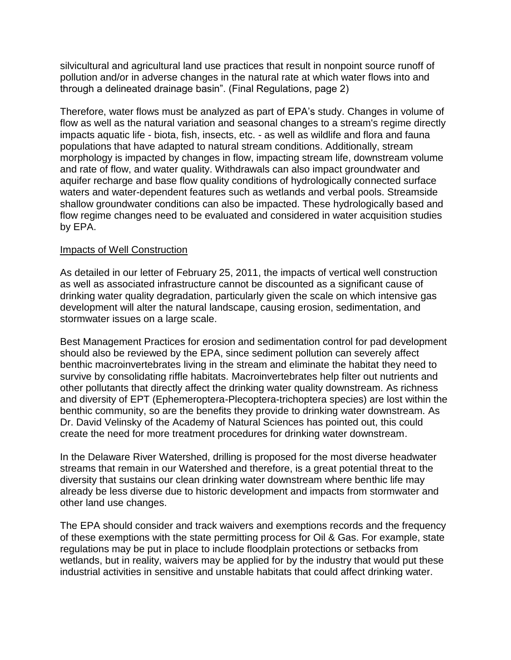silvicultural and agricultural land use practices that result in nonpoint source runoff of pollution and/or in adverse changes in the natural rate at which water flows into and through a delineated drainage basin". (Final Regulations, page 2)

Therefore, water flows must be analyzed as part of EPA's study. Changes in volume of flow as well as the natural variation and seasonal changes to a stream's regime directly impacts aquatic life - biota, fish, insects, etc. - as well as wildlife and flora and fauna populations that have adapted to natural stream conditions. Additionally, stream morphology is impacted by changes in flow, impacting stream life, downstream volume and rate of flow, and water quality. Withdrawals can also impact groundwater and aquifer recharge and base flow quality conditions of hydrologically connected surface waters and water-dependent features such as wetlands and verbal pools. Streamside shallow groundwater conditions can also be impacted. These hydrologically based and flow regime changes need to be evaluated and considered in water acquisition studies by EPA.

## Impacts of Well Construction

As detailed in our letter of February 25, 2011, the impacts of vertical well construction as well as associated infrastructure cannot be discounted as a significant cause of drinking water quality degradation, particularly given the scale on which intensive gas development will alter the natural landscape, causing erosion, sedimentation, and stormwater issues on a large scale.

Best Management Practices for erosion and sedimentation control for pad development should also be reviewed by the EPA, since sediment pollution can severely affect benthic macroinvertebrates living in the stream and eliminate the habitat they need to survive by consolidating riffle habitats. Macroinvertebrates help filter out nutrients and other pollutants that directly affect the drinking water quality downstream. As richness and diversity of EPT (Ephemeroptera-Plecoptera-trichoptera species) are lost within the benthic community, so are the benefits they provide to drinking water downstream. As Dr. David Velinsky of the Academy of Natural Sciences has pointed out, this could create the need for more treatment procedures for drinking water downstream.

In the Delaware River Watershed, drilling is proposed for the most diverse headwater streams that remain in our Watershed and therefore, is a great potential threat to the diversity that sustains our clean drinking water downstream where benthic life may already be less diverse due to historic development and impacts from stormwater and other land use changes.

The EPA should consider and track waivers and exemptions records and the frequency of these exemptions with the state permitting process for Oil & Gas. For example, state regulations may be put in place to include floodplain protections or setbacks from wetlands, but in reality, waivers may be applied for by the industry that would put these industrial activities in sensitive and unstable habitats that could affect drinking water.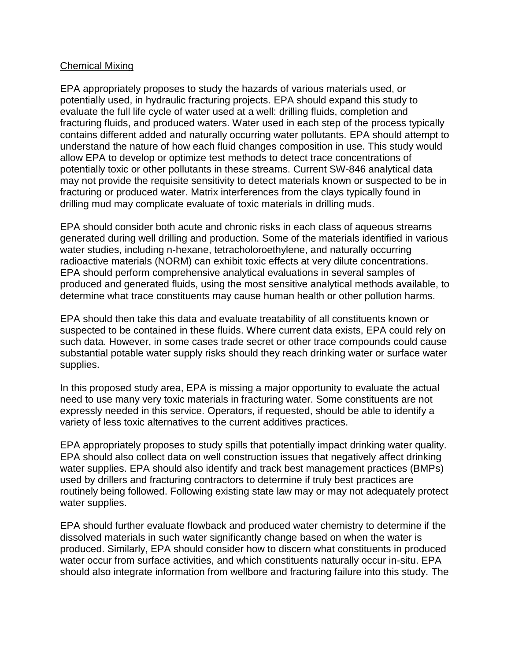## Chemical Mixing

EPA appropriately proposes to study the hazards of various materials used, or potentially used, in hydraulic fracturing projects. EPA should expand this study to evaluate the full life cycle of water used at a well: drilling fluids, completion and fracturing fluids, and produced waters. Water used in each step of the process typically contains different added and naturally occurring water pollutants. EPA should attempt to understand the nature of how each fluid changes composition in use. This study would allow EPA to develop or optimize test methods to detect trace concentrations of potentially toxic or other pollutants in these streams. Current SW-846 analytical data may not provide the requisite sensitivity to detect materials known or suspected to be in fracturing or produced water. Matrix interferences from the clays typically found in drilling mud may complicate evaluate of toxic materials in drilling muds.

EPA should consider both acute and chronic risks in each class of aqueous streams generated during well drilling and production. Some of the materials identified in various water studies, including n-hexane, tetracholoroethylene, and naturally occurring radioactive materials (NORM) can exhibit toxic effects at very dilute concentrations. EPA should perform comprehensive analytical evaluations in several samples of produced and generated fluids, using the most sensitive analytical methods available, to determine what trace constituents may cause human health or other pollution harms.

EPA should then take this data and evaluate treatability of all constituents known or suspected to be contained in these fluids. Where current data exists, EPA could rely on such data. However, in some cases trade secret or other trace compounds could cause substantial potable water supply risks should they reach drinking water or surface water supplies.

In this proposed study area, EPA is missing a major opportunity to evaluate the actual need to use many very toxic materials in fracturing water. Some constituents are not expressly needed in this service. Operators, if requested, should be able to identify a variety of less toxic alternatives to the current additives practices.

EPA appropriately proposes to study spills that potentially impact drinking water quality. EPA should also collect data on well construction issues that negatively affect drinking water supplies. EPA should also identify and track best management practices (BMPs) used by drillers and fracturing contractors to determine if truly best practices are routinely being followed. Following existing state law may or may not adequately protect water supplies.

EPA should further evaluate flowback and produced water chemistry to determine if the dissolved materials in such water significantly change based on when the water is produced. Similarly, EPA should consider how to discern what constituents in produced water occur from surface activities, and which constituents naturally occur in-situ. EPA should also integrate information from wellbore and fracturing failure into this study. The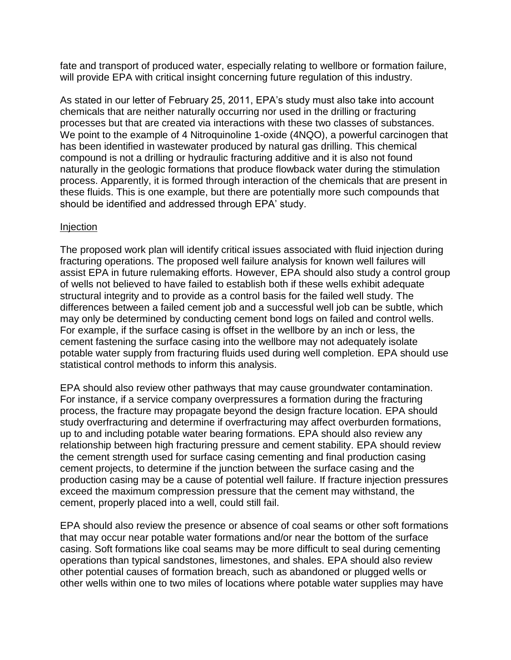fate and transport of produced water, especially relating to wellbore or formation failure, will provide EPA with critical insight concerning future regulation of this industry.

As stated in our letter of February 25, 2011, EPA's study must also take into account chemicals that are neither naturally occurring nor used in the drilling or fracturing processes but that are created via interactions with these two classes of substances. We point to the example of 4 Nitroquinoline 1-oxide (4NQO), a powerful carcinogen that has been identified in wastewater produced by natural gas drilling. This chemical compound is not a drilling or hydraulic fracturing additive and it is also not found naturally in the geologic formations that produce flowback water during the stimulation process. Apparently, it is formed through interaction of the chemicals that are present in these fluids. This is one example, but there are potentially more such compounds that should be identified and addressed through EPA' study.

## Injection

The proposed work plan will identify critical issues associated with fluid injection during fracturing operations. The proposed well failure analysis for known well failures will assist EPA in future rulemaking efforts. However, EPA should also study a control group of wells not believed to have failed to establish both if these wells exhibit adequate structural integrity and to provide as a control basis for the failed well study. The differences between a failed cement job and a successful well job can be subtle, which may only be determined by conducting cement bond logs on failed and control wells. For example, if the surface casing is offset in the wellbore by an inch or less, the cement fastening the surface casing into the wellbore may not adequately isolate potable water supply from fracturing fluids used during well completion. EPA should use statistical control methods to inform this analysis.

EPA should also review other pathways that may cause groundwater contamination. For instance, if a service company overpressures a formation during the fracturing process, the fracture may propagate beyond the design fracture location. EPA should study overfracturing and determine if overfracturing may affect overburden formations, up to and including potable water bearing formations. EPA should also review any relationship between high fracturing pressure and cement stability. EPA should review the cement strength used for surface casing cementing and final production casing cement projects, to determine if the junction between the surface casing and the production casing may be a cause of potential well failure. If fracture injection pressures exceed the maximum compression pressure that the cement may withstand, the cement, properly placed into a well, could still fail.

EPA should also review the presence or absence of coal seams or other soft formations that may occur near potable water formations and/or near the bottom of the surface casing. Soft formations like coal seams may be more difficult to seal during cementing operations than typical sandstones, limestones, and shales. EPA should also review other potential causes of formation breach, such as abandoned or plugged wells or other wells within one to two miles of locations where potable water supplies may have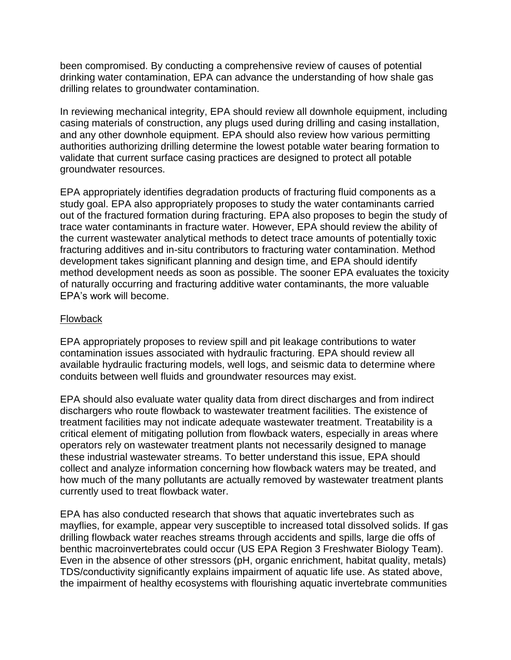been compromised. By conducting a comprehensive review of causes of potential drinking water contamination, EPA can advance the understanding of how shale gas drilling relates to groundwater contamination.

In reviewing mechanical integrity, EPA should review all downhole equipment, including casing materials of construction, any plugs used during drilling and casing installation, and any other downhole equipment. EPA should also review how various permitting authorities authorizing drilling determine the lowest potable water bearing formation to validate that current surface casing practices are designed to protect all potable groundwater resources.

EPA appropriately identifies degradation products of fracturing fluid components as a study goal. EPA also appropriately proposes to study the water contaminants carried out of the fractured formation during fracturing. EPA also proposes to begin the study of trace water contaminants in fracture water. However, EPA should review the ability of the current wastewater analytical methods to detect trace amounts of potentially toxic fracturing additives and in-situ contributors to fracturing water contamination. Method development takes significant planning and design time, and EPA should identify method development needs as soon as possible. The sooner EPA evaluates the toxicity of naturally occurring and fracturing additive water contaminants, the more valuable EPA's work will become.

## Flowback

EPA appropriately proposes to review spill and pit leakage contributions to water contamination issues associated with hydraulic fracturing. EPA should review all available hydraulic fracturing models, well logs, and seismic data to determine where conduits between well fluids and groundwater resources may exist.

EPA should also evaluate water quality data from direct discharges and from indirect dischargers who route flowback to wastewater treatment facilities. The existence of treatment facilities may not indicate adequate wastewater treatment. Treatability is a critical element of mitigating pollution from flowback waters, especially in areas where operators rely on wastewater treatment plants not necessarily designed to manage these industrial wastewater streams. To better understand this issue, EPA should collect and analyze information concerning how flowback waters may be treated, and how much of the many pollutants are actually removed by wastewater treatment plants currently used to treat flowback water.

EPA has also conducted research that shows that aquatic invertebrates such as mayflies, for example, appear very susceptible to increased total dissolved solids. If gas drilling flowback water reaches streams through accidents and spills, large die offs of benthic macroinvertebrates could occur (US EPA Region 3 Freshwater Biology Team). Even in the absence of other stressors (pH, organic enrichment, habitat quality, metals) TDS/conductivity significantly explains impairment of aquatic life use. As stated above, the impairment of healthy ecosystems with flourishing aquatic invertebrate communities